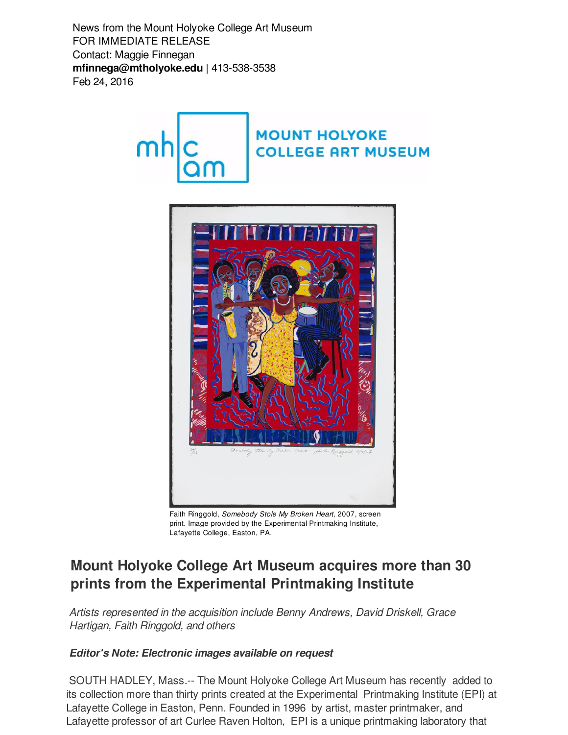News from the Mount Holyoke College Art Museum FOR IMMEDIATE RELEASE Contact: Maggie Finnegan **[mfinnega@mtholyoke.edu](mailto:mfinnega@mtholyoke.edu)** | 413-538-3538 Feb 24, 2016





Faith Ringgold, *Somebody Stole My Broken Heart*, 2007, screen print. Image provided by the Experimental Printmaking Institute, Lafayette College, Easton, PA.

## **Mount Holyoke College Art Museum acquires more than 30 prints from the Experimental Printmaking Institute**

*Artists represented in the acquisition include Benny Andrews, David Driskell, Grace Hartigan, Faith Ringgold, and others*

## *Editor's Note: Electronic images available on request*

SOUTH HADLEY, Mass.-- The Mount Holyoke College Art Museum has recently added to its collection more than thirty prints created at the Experimental Printmaking Institute (EPI) at Lafayette College in Easton, Penn. Founded in 1996 by artist, master printmaker, and Lafayette professor of art Curlee Raven Holton, EPI is a unique printmaking laboratory that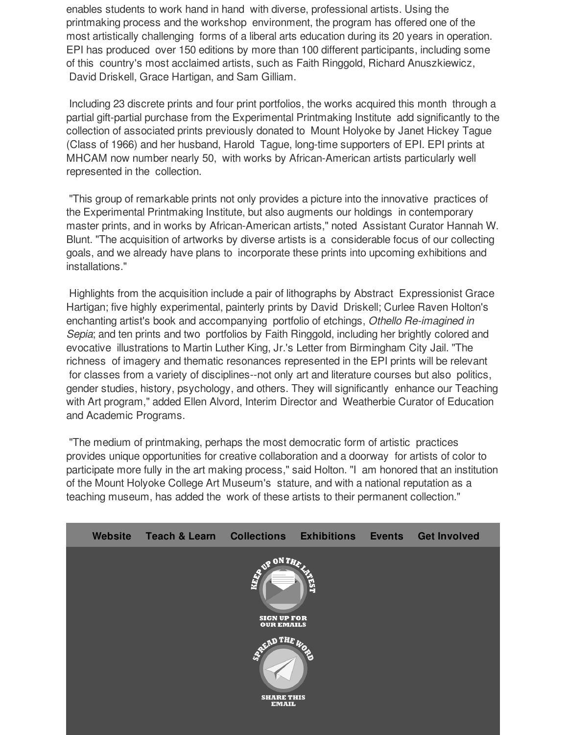enables students to work hand in hand with diverse, professional artists. Using the printmaking process and the workshop environment, the program has offered one of the most artistically challenging forms of a liberal arts education during its 20 years in operation. EPI has produced over 150 editions by more than 100 different participants, including some of this country's most acclaimed artists, such as Faith Ringgold, Richard Anuszkiewicz, David Driskell, Grace Hartigan, and Sam Gilliam.

Including 23 discrete prints and four print portfolios, the works acquired this month through a partial gift-partial purchase from the Experimental Printmaking Institute add significantly to the collection of associated prints previously donated to Mount Holyoke by Janet Hickey Tague (Class of 1966) and her husband, Harold Tague, long-time supporters of EPI. EPI prints at MHCAM now number nearly 50, with works by African-American artists particularly well represented in the collection.

"This group of remarkable prints not only provides a picture into the innovative practices of the Experimental Printmaking Institute, but also augments our holdings in contemporary master prints, and in works by African-American artists," noted Assistant Curator Hannah W. Blunt. "The acquisition of artworks by diverse artists is a considerable focus of our collecting goals, and we already have plans to incorporate these prints into upcoming exhibitions and installations."

Highlights from the acquisition include a pair of lithographs by Abstract Expressionist Grace Hartigan; five highly experimental, painterly prints by David Driskell; Curlee Raven Holton's enchanting artist's book and accompanying portfolio of etchings, *Othello Re-imagined in Sepia*; and ten prints and two portfolios by Faith Ringgold, including her brightly colored and evocative illustrations to Martin Luther King, Jr.'s Letter from Birmingham City Jail. "The richness of imagery and thematic resonances represented in the EPI prints will be relevant for classes from a variety of disciplines--not only art and literature courses but also politics, gender studies, history, psychology, and others. They will significantly enhance our Teaching with Art program," added Ellen Alvord, Interim Director and Weatherbie Curator of Education and Academic Programs.

"The medium of printmaking, perhaps the most democratic form of artistic practices provides unique opportunities for creative collaboration and a doorway for artists of color to participate more fully in the art making process," said Holton. "I am honored that an institution of the Mount Holyoke College Art Museum's stature, and with a national reputation as a teaching museum, has added the work of these artists to their permanent collection."